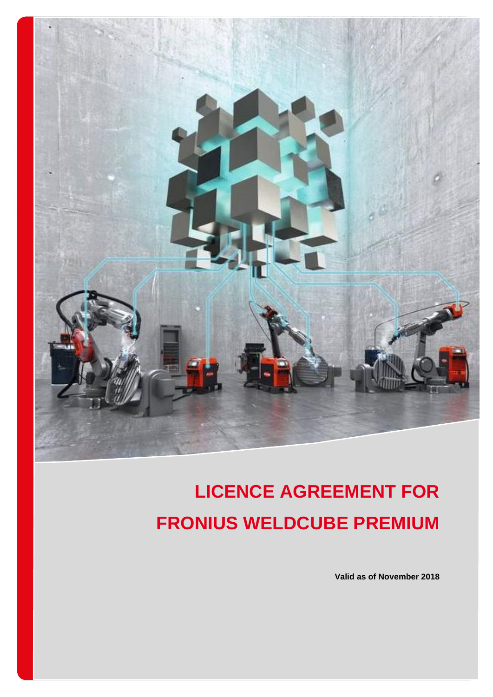

# **LICENCE AGREEMENT FOR FRONIUS WELDCUBE PREMIUM**

**Valid as of November 2018**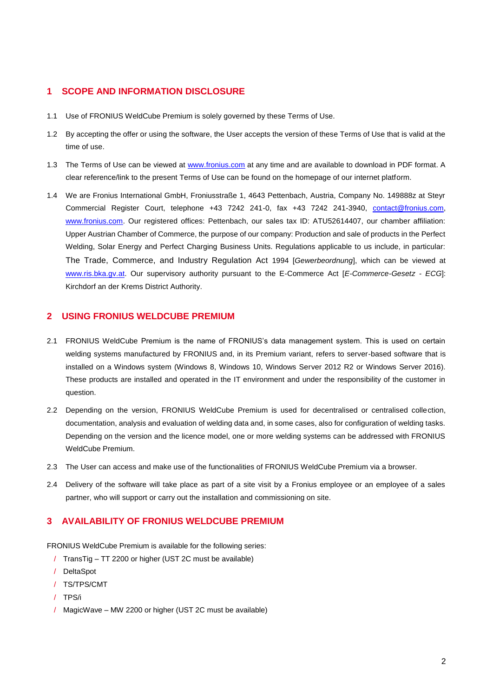## **1 SCOPE AND INFORMATION DISCLOSURE**

- 1.1 Use of FRONIUS WeldCube Premium is solely governed by these Terms of Use.
- 1.2 By accepting the offer or using the software, the User accepts the version of these Terms of Use that is valid at the time of use.
- 1.3 The Terms of Use can be viewed at [www.fronius.com](http://www.fronius.com/) at any time and are available to download in PDF format. A clear reference/link to the present Terms of Use can be found on the homepage of our internet platform.
- 1.4 We are Fronius International GmbH, Froniusstraße 1, 4643 Pettenbach, Austria, Company No. 149888z at Steyr Commercial Register Court, telephone +43 7242 241-0, fax +43 7242 241-3940, [contact@fronius.com,](mailto:contact@fronius.com) [www.fronius.com.](http://www.fronius.com/) Our registered offices: Pettenbach, our sales tax ID: ATU52614407, our chamber affiliation: Upper Austrian Chamber of Commerce, the purpose of our company: Production and sale of products in the Perfect Welding, Solar Energy and Perfect Charging Business Units. Regulations applicable to us include, in particular: The Trade, Commerce, and Industry Regulation Act 1994 [*Gewerbeordnung*], which can be viewed at [www.ris.bka.gv.at.](http://www.ris.bka.gv.at/) Our supervisory authority pursuant to the E-Commerce Act [*E-Commerce-Gesetz - ECG*]: Kirchdorf an der Krems District Authority.

#### **2 USING FRONIUS WELDCUBE PREMIUM**

- 2.1 FRONIUS WeldCube Premium is the name of FRONIUS's data management system. This is used on certain welding systems manufactured by FRONIUS and, in its Premium variant, refers to server-based software that is installed on a Windows system (Windows 8, Windows 10, Windows Server 2012 R2 or Windows Server 2016). These products are installed and operated in the IT environment and under the responsibility of the customer in question.
- 2.2 Depending on the version, FRONIUS WeldCube Premium is used for decentralised or centralised collection, documentation, analysis and evaluation of welding data and, in some cases, also for configuration of welding tasks. Depending on the version and the licence model, one or more welding systems can be addressed with FRONIUS WeldCube Premium.
- 2.3 The User can access and make use of the functionalities of FRONIUS WeldCube Premium via a browser.
- 2.4 Delivery of the software will take place as part of a site visit by a Fronius employee or an employee of a sales partner, who will support or carry out the installation and commissioning on site.

## **3 AVAILABILITY OF FRONIUS WELDCUBE PREMIUM**

FRONIUS WeldCube Premium is available for the following series:

- / TransTig TT 2200 or higher (UST 2C must be available)
- / DeltaSpot
- / TS/TPS/CMT
- / TPS/i
- / MagicWave MW 2200 or higher (UST 2C must be available)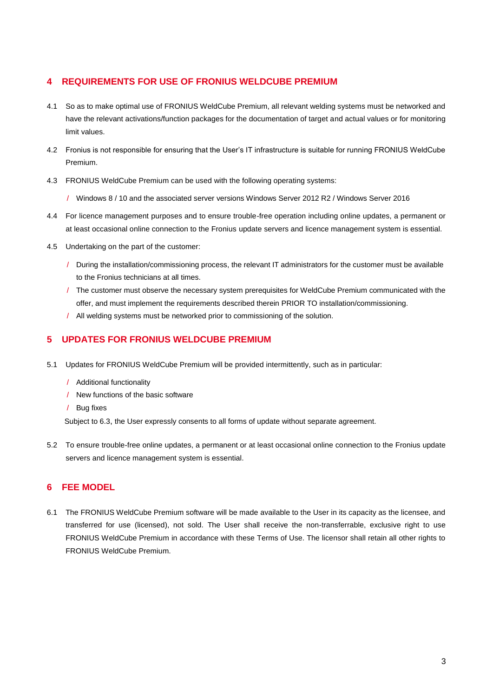## **4 REQUIREMENTS FOR USE OF FRONIUS WELDCUBE PREMIUM**

- 4.1 So as to make optimal use of FRONIUS WeldCube Premium, all relevant welding systems must be networked and have the relevant activations/function packages for the documentation of target and actual values or for monitoring limit values.
- 4.2 Fronius is not responsible for ensuring that the User's IT infrastructure is suitable for running FRONIUS WeldCube Premium.
- 4.3 FRONIUS WeldCube Premium can be used with the following operating systems:
	- / Windows 8 / 10 and the associated server versions Windows Server 2012 R2 / Windows Server 2016
- 4.4 For licence management purposes and to ensure trouble-free operation including online updates, a permanent or at least occasional online connection to the Fronius update servers and licence management system is essential.
- 4.5 Undertaking on the part of the customer:
	- / During the installation/commissioning process, the relevant IT administrators for the customer must be available to the Fronius technicians at all times.
	- / The customer must observe the necessary system prerequisites for WeldCube Premium communicated with the offer, and must implement the requirements described therein PRIOR TO installation/commissioning.
	- / All welding systems must be networked prior to commissioning of the solution.

## **5 UPDATES FOR FRONIUS WELDCUBE PREMIUM**

- 5.1 Updates for FRONIUS WeldCube Premium will be provided intermittently, such as in particular:
	- / Additional functionality
	- / New functions of the basic software
	- / Bug fixes

Subject t[o 6.3](#page-3-0), the User expressly consents to all forms of update without separate agreement.

5.2 To ensure trouble-free online updates, a permanent or at least occasional online connection to the Fronius update servers and licence management system is essential.

## **6 FEE MODEL**

6.1 The FRONIUS WeldCube Premium software will be made available to the User in its capacity as the licensee, and transferred for use (licensed), not sold. The User shall receive the non-transferrable, exclusive right to use FRONIUS WeldCube Premium in accordance with these Terms of Use. The licensor shall retain all other rights to FRONIUS WeldCube Premium.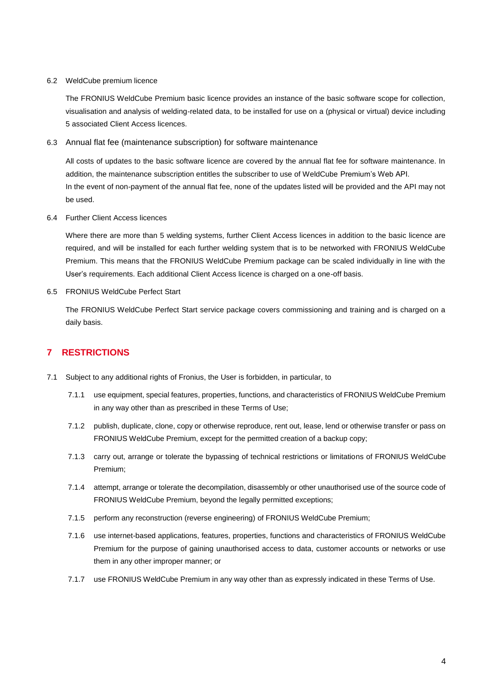#### 6.2 WeldCube premium licence

The FRONIUS WeldCube Premium basic licence provides an instance of the basic software scope for collection, visualisation and analysis of welding-related data, to be installed for use on a (physical or virtual) device including 5 associated Client Access licences.

#### 6.3 Annual flat fee (maintenance subscription) for software maintenance

<span id="page-3-0"></span>All costs of updates to the basic software licence are covered by the annual flat fee for software maintenance. In addition, the maintenance subscription entitles the subscriber to use of WeldCube Premium's Web API. In the event of non-payment of the annual flat fee, none of the updates listed will be provided and the API may not be used.

6.4 Further Client Access licences

Where there are more than 5 welding systems, further Client Access licences in addition to the basic licence are required, and will be installed for each further welding system that is to be networked with FRONIUS WeldCube Premium. This means that the FRONIUS WeldCube Premium package can be scaled individually in line with the User's requirements. Each additional Client Access licence is charged on a one-off basis.

6.5 FRONIUS WeldCube Perfect Start

The FRONIUS WeldCube Perfect Start service package covers commissioning and training and is charged on a daily basis.

## **7 RESTRICTIONS**

- 7.1 Subject to any additional rights of Fronius, the User is forbidden, in particular, to
	- 7.1.1 use equipment, special features, properties, functions, and characteristics of FRONIUS WeldCube Premium in any way other than as prescribed in these Terms of Use;
	- 7.1.2 publish, duplicate, clone, copy or otherwise reproduce, rent out, lease, lend or otherwise transfer or pass on FRONIUS WeldCube Premium, except for the permitted creation of a backup copy;
	- 7.1.3 carry out, arrange or tolerate the bypassing of technical restrictions or limitations of FRONIUS WeldCube Premium;
	- 7.1.4 attempt, arrange or tolerate the decompilation, disassembly or other unauthorised use of the source code of FRONIUS WeldCube Premium, beyond the legally permitted exceptions;
	- 7.1.5 perform any reconstruction (reverse engineering) of FRONIUS WeldCube Premium;
	- 7.1.6 use internet-based applications, features, properties, functions and characteristics of FRONIUS WeldCube Premium for the purpose of gaining unauthorised access to data, customer accounts or networks or use them in any other improper manner; or
	- 7.1.7 use FRONIUS WeldCube Premium in any way other than as expressly indicated in these Terms of Use.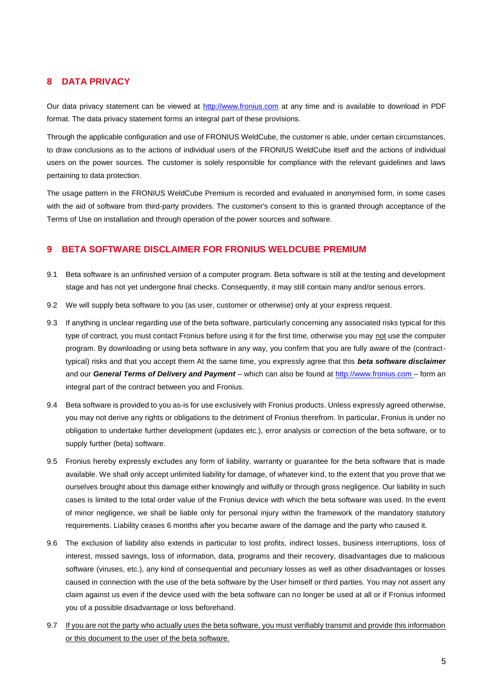## **8 DATA PRIVACY**

Our data privacy statement can be viewed at [http://www.fronius.com](http://www.fronius.com/) at any time and is available to download in PDF format. The data privacy statement forms an integral part of these provisions.

Through the applicable configuration and use of FRONIUS WeldCube, the customer is able, under certain circumstances, to draw conclusions as to the actions of individual users of the FRONIUS WeldCube itself and the actions of individual users on the power sources. The customer is solely responsible for compliance with the relevant guidelines and laws pertaining to data protection.

The usage pattern in the FRONIUS WeldCube Premium is recorded and evaluated in anonymised form, in some cases with the aid of software from third-party providers. The customer's consent to this is granted through acceptance of the Terms of Use on installation and through operation of the power sources and software.

## **9 BETA SOFTWARE DISCLAIMER FOR FRONIUS WELDCUBE PREMIUM**

- 9.1 Beta software is an unfinished version of a computer program. Beta software is still at the testing and development stage and has not yet undergone final checks. Consequently, it may still contain many and/or serious errors.
- 9.2 We will supply beta software to you (as user, customer or otherwise) only at your express request.
- 9.3 If anything is unclear regarding use of the beta software, particularly concerning any associated risks typical for this type of contract, you must contact Fronius before using it for the first time, otherwise you may not use the computer program. By downloading or using beta software in any way, you confirm that you are fully aware of the (contracttypical) risks and that you accept them At the same time, you expressly agree that this *beta software disclaimer* and our *General Terms of Delivery and Payment* – which can also be found at [http://www.fronius.com](http://www.fronius.com/) – form an integral part of the contract between you and Fronius.
- 9.4 Beta software is provided to you as-is for use exclusively with Fronius products. Unless expressly agreed otherwise, you may not derive any rights or obligations to the detriment of Fronius therefrom. In particular, Fronius is under no obligation to undertake further development (updates etc.), error analysis or correction of the beta software, or to supply further (beta) software.
- 9.5 Fronius hereby expressly excludes any form of liability, warranty or guarantee for the beta software that is made available. We shall only accept unlimited liability for damage, of whatever kind, to the extent that you prove that we ourselves brought about this damage either knowingly and wilfully or through gross negligence. Our liability in such cases is limited to the total order value of the Fronius device with which the beta software was used. In the event of minor negligence, we shall be liable only for personal injury within the framework of the mandatory statutory requirements. Liability ceases 6 months after you became aware of the damage and the party who caused it.
- 9.6 The exclusion of liability also extends in particular to lost profits, indirect losses, business interruptions, loss of interest, missed savings, loss of information, data, programs and their recovery, disadvantages due to malicious software (viruses, etc.), any kind of consequential and pecuniary losses as well as other disadvantages or losses caused in connection with the use of the beta software by the User himself or third parties. You may not assert any claim against us even if the device used with the beta software can no longer be used at all or if Fronius informed you of a possible disadvantage or loss beforehand.
- 9.7 If you are not the party who actually uses the beta software, you must verifiably transmit and provide this information or this document to the user of the beta software.